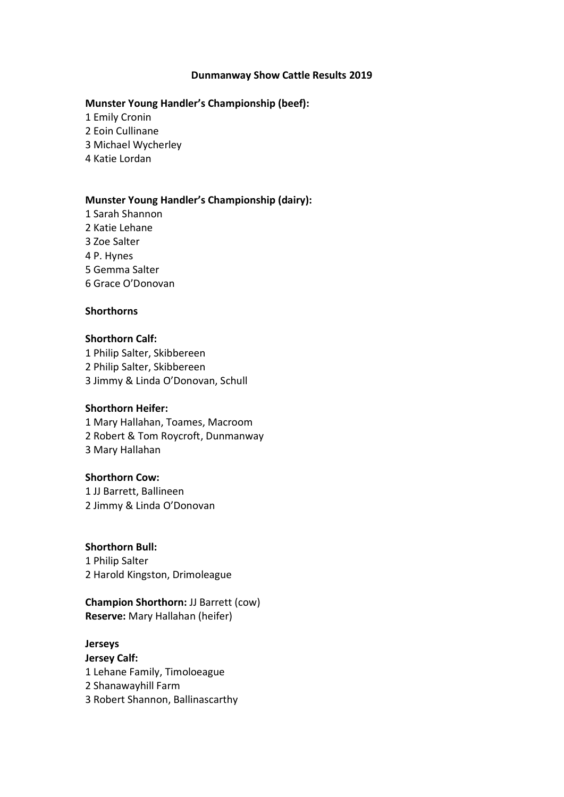#### **Dunmanway Show Cattle Results 2019**

#### **Munster Young Handler's Championship (beef):**

1 Emily Cronin

2 Eoin Cullinane

3 Michael Wycherley

4 Katie Lordan

## **Munster Young Handler's Championship (dairy):**

1 Sarah Shannon 2 Katie Lehane 3 Zoe Salter 4 P. Hynes 5 Gemma Salter 6 Grace O'Donovan

## **Shorthorns**

# **Shorthorn Calf:**

1 Philip Salter, Skibbereen 2 Philip Salter, Skibbereen 3 Jimmy & Linda O'Donovan, Schull

## **Shorthorn Heifer:**

1 Mary Hallahan, Toames, Macroom 2 Robert & Tom Roycroft, Dunmanway 3 Mary Hallahan

# **Shorthorn Cow:**

1 JJ Barrett, Ballineen 2 Jimmy & Linda O'Donovan

# **Shorthorn Bull:**

1 Philip Salter 2 Harold Kingston, Drimoleague

## **Champion Shorthorn:** JJ Barrett (cow) **Reserve:** Mary Hallahan (heifer)

# **Jerseys**

**Jersey Calf:** 1 Lehane Family, Timoloeague 2 Shanawayhill Farm 3 Robert Shannon, Ballinascarthy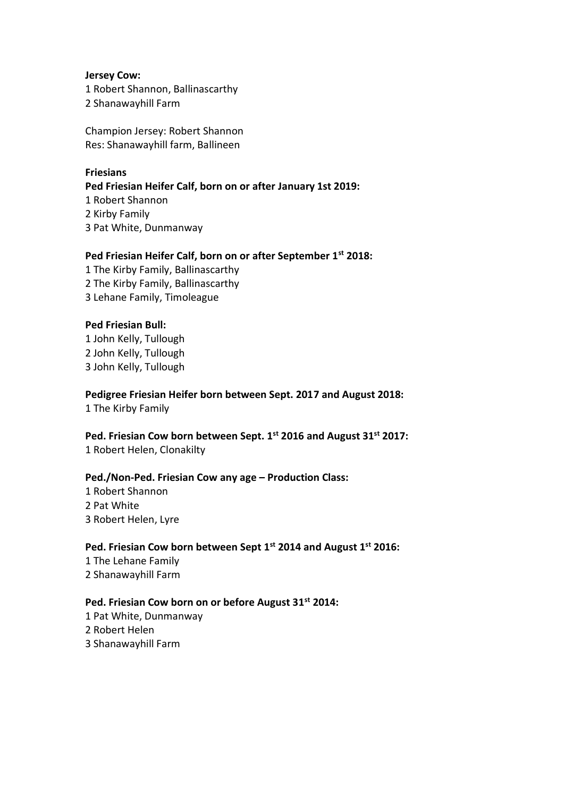#### **Jersey Cow:**

1 Robert Shannon, Ballinascarthy 2 Shanawayhill Farm

Champion Jersey: Robert Shannon Res: Shanawayhill farm, Ballineen

## **Friesians**

**Ped Friesian Heifer Calf, born on or after January 1st 2019:**  1 Robert Shannon 2 Kirby Family 3 Pat White, Dunmanway

## **Ped Friesian Heifer Calf, born on or after September 1st 2018:**

1 The Kirby Family, Ballinascarthy 2 The Kirby Family, Ballinascarthy 3 Lehane Family, Timoleague

## **Ped Friesian Bull:**

1 John Kelly, Tullough 2 John Kelly, Tullough 3 John Kelly, Tullough

**Pedigree Friesian Heifer born between Sept. 2017 and August 2018:** 

1 The Kirby Family

**Ped. Friesian Cow born between Sept. 1st 2016 and August 31st 2017:** 1 Robert Helen, Clonakilty

## **Ped./Non-Ped. Friesian Cow any age – Production Class:**

1 Robert Shannon 2 Pat White 3 Robert Helen, Lyre

## **Ped. Friesian Cow born between Sept 1st 2014 and August 1st 2016:**

1 The Lehane Family 2 Shanawayhill Farm

## **Ped. Friesian Cow born on or before August 31st 2014:**

1 Pat White, Dunmanway 2 Robert Helen 3 Shanawayhill Farm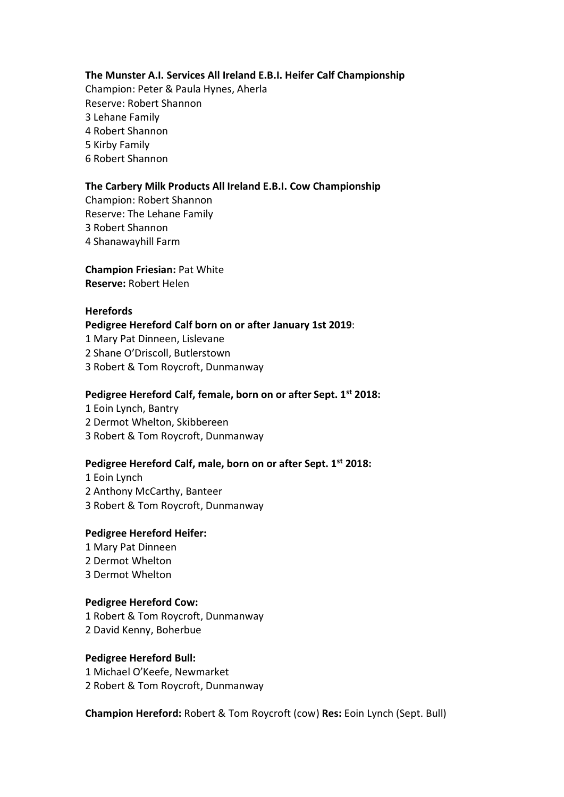## **The Munster A.I. Services All Ireland E.B.I. Heifer Calf Championship**

Champion: Peter & Paula Hynes, Aherla Reserve: Robert Shannon 3 Lehane Family 4 Robert Shannon 5 Kirby Family 6 Robert Shannon

## **The Carbery Milk Products All Ireland E.B.I. Cow Championship**

Champion: Robert Shannon Reserve: The Lehane Family 3 Robert Shannon 4 Shanawayhill Farm

**Champion Friesian:** Pat White **Reserve:** Robert Helen

## **Herefords**

**Pedigree Hereford Calf born on or after January 1st 2019**:

1 Mary Pat Dinneen, Lislevane

2 Shane O'Driscoll, Butlerstown

3 Robert & Tom Roycroft, Dunmanway

## **Pedigree Hereford Calf, female, born on or after Sept. 1st 2018:**

1 Eoin Lynch, Bantry 2 Dermot Whelton, Skibbereen 3 Robert & Tom Roycroft, Dunmanway

# **Pedigree Hereford Calf, male, born on or after Sept. 1st 2018:**

1 Eoin Lynch 2 Anthony McCarthy, Banteer 3 Robert & Tom Roycroft, Dunmanway

## **Pedigree Hereford Heifer:**

1 Mary Pat Dinneen 2 Dermot Whelton 3 Dermot Whelton

## **Pedigree Hereford Cow:**

1 Robert & Tom Roycroft, Dunmanway 2 David Kenny, Boherbue

## **Pedigree Hereford Bull:**

1 Michael O'Keefe, Newmarket 2 Robert & Tom Roycroft, Dunmanway

**Champion Hereford:** Robert & Tom Roycroft (cow) **Res:** Eoin Lynch (Sept. Bull)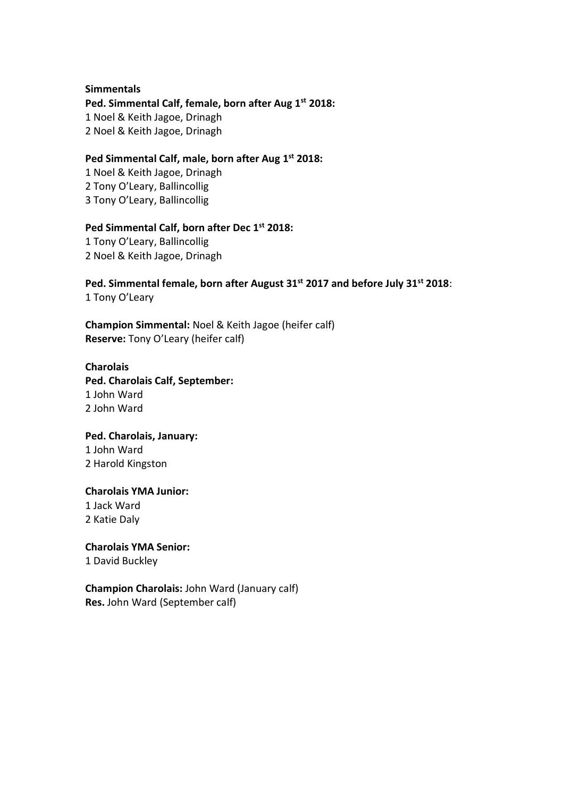#### **Simmentals**

**Ped. Simmental Calf, female, born after Aug 1st 2018:** 1 Noel & Keith Jagoe, Drinagh 2 Noel & Keith Jagoe, Drinagh

## **Ped Simmental Calf, male, born after Aug 1 st 2018:**

1 Noel & Keith Jagoe, Drinagh 2 Tony O'Leary, Ballincollig 3 Tony O'Leary, Ballincollig

# **Ped Simmental Calf, born after Dec 1st 2018:**

1 Tony O'Leary, Ballincollig 2 Noel & Keith Jagoe, Drinagh

## **Ped. Simmental female, born after August 31 st 2017 and before July 31st 2018**: 1 Tony O'Leary

**Champion Simmental:** Noel & Keith Jagoe (heifer calf) **Reserve:** Tony O'Leary (heifer calf)

## **Charolais**

**Ped. Charolais Calf, September:** 1 John Ward 2 John Ward

# **Ped. Charolais, January:**  1 John Ward

2 Harold Kingston

## **Charolais YMA Junior:**  1 Jack Ward

2 Katie Daly

# **Charolais YMA Senior:**

1 David Buckley

## **Champion Charolais:** John Ward (January calf) **Res.** John Ward (September calf)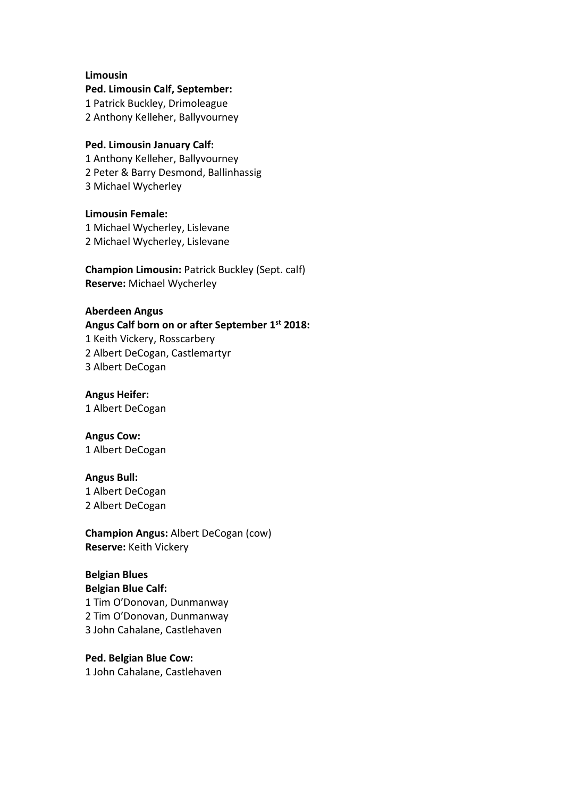#### **Limousin**

**Ped. Limousin Calf, September:** 1 Patrick Buckley, Drimoleague 2 Anthony Kelleher, Ballyvourney

#### **Ped. Limousin January Calf:**

1 Anthony Kelleher, Ballyvourney 2 Peter & Barry Desmond, Ballinhassig 3 Michael Wycherley

**Limousin Female:** 1 Michael Wycherley, Lislevane 2 Michael Wycherley, Lislevane

**Champion Limousin:** Patrick Buckley (Sept. calf) **Reserve:** Michael Wycherley

## **Aberdeen Angus**

**Angus Calf born on or after September 1st 2018:**

1 Keith Vickery, Rosscarbery 2 Albert DeCogan, Castlemartyr

3 Albert DeCogan

**Angus Heifer:** 1 Albert DeCogan

**Angus Cow:**  1 Albert DeCogan

#### **Angus Bull:**

1 Albert DeCogan 2 Albert DeCogan

**Champion Angus:** Albert DeCogan (cow) **Reserve:** Keith Vickery

## **Belgian Blues**

**Belgian Blue Calf:** 1 Tim O'Donovan, Dunmanway 2 Tim O'Donovan, Dunmanway 3 John Cahalane, Castlehaven

**Ped. Belgian Blue Cow:** 1 John Cahalane, Castlehaven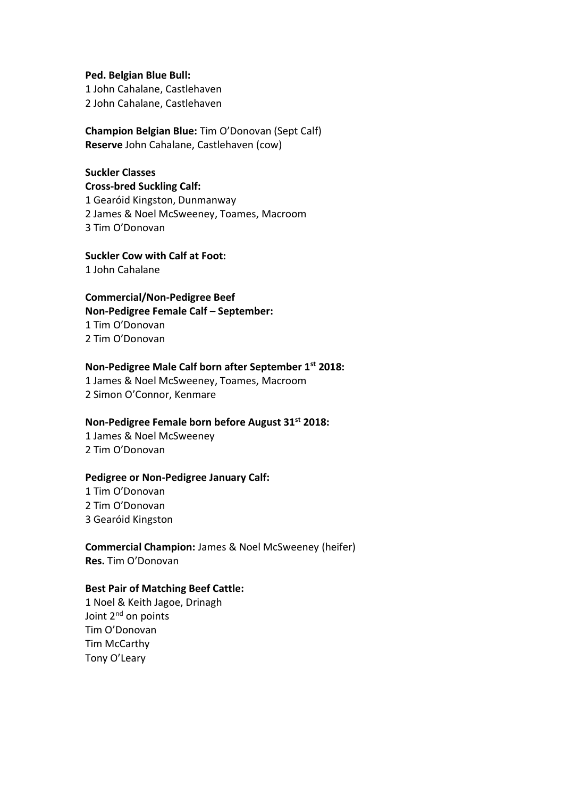#### **Ped. Belgian Blue Bull:**

1 John Cahalane, Castlehaven 2 John Cahalane, Castlehaven

## **Champion Belgian Blue:** Tim O'Donovan (Sept Calf) **Reserve** John Cahalane, Castlehaven (cow)

## **Suckler Classes**

**Cross-bred Suckling Calf:** 1 Gearóid Kingston, Dunmanway 2 James & Noel McSweeney, Toames, Macroom 3 Tim O'Donovan

# **Suckler Cow with Calf at Foot:**

1 John Cahalane

## **Commercial/Non-Pedigree Beef**

**Non-Pedigree Female Calf – September:** 

1 Tim O'Donovan 2 Tim O'Donovan

## **Non-Pedigree Male Calf born after September 1st 2018:**

1 James & Noel McSweeney, Toames, Macroom 2 Simon O'Connor, Kenmare

## **Non-Pedigree Female born before August 31st 2018:**

1 James & Noel McSweeney 2 Tim O'Donovan

## **Pedigree or Non-Pedigree January Calf:**

1 Tim O'Donovan 2 Tim O'Donovan 3 Gearóid Kingston

**Commercial Champion:** James & Noel McSweeney (heifer) **Res.** Tim O'Donovan

## **Best Pair of Matching Beef Cattle:**

1 Noel & Keith Jagoe, Drinagh Joint 2<sup>nd</sup> on points Tim O'Donovan Tim McCarthy Tony O'Leary